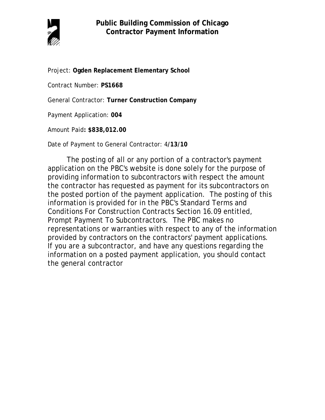

Project: **Ogden Replacement Elementary School**

Contract Number: **PS1668**

General Contractor: **Turner Construction Company**

Payment Application: **004**

Amount Paid**: \$838,012.00** 

Date of Payment to General Contractor: 4**/13/10**

The posting of all or any portion of a contractor's payment application on the PBC's website is done solely for the purpose of providing information to subcontractors with respect the amount the contractor has requested as payment for its subcontractors on the posted portion of the payment application. The posting of this information is provided for in the PBC's Standard Terms and Conditions For Construction Contracts Section 16.09 entitled, Prompt Payment To Subcontractors. The PBC makes no representations or warranties with respect to any of the information provided by contractors on the contractors' payment applications. If you are a subcontractor, and have any questions regarding the information on a posted payment application, you should contact the general contractor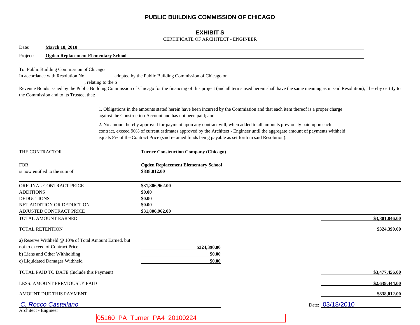## **PUBLIC BUILDING COMMISSION OF CHICAGO**

## **EXHIBIT S**

### CERTIFICATE OF ARCHITECT - ENGINEER

| Date:<br><b>March 18, 2010</b>                                                                                                                               |                                                                                                                                                                                                                                                                                                                                                                |                  |  |  |
|--------------------------------------------------------------------------------------------------------------------------------------------------------------|----------------------------------------------------------------------------------------------------------------------------------------------------------------------------------------------------------------------------------------------------------------------------------------------------------------------------------------------------------------|------------------|--|--|
| <b>Ogden Replacement Elementary School</b><br>Project:                                                                                                       |                                                                                                                                                                                                                                                                                                                                                                |                  |  |  |
| To: Public Building Commission of Chicago<br>In accordance with Resolution No.<br>, relating to the \$<br>the Commission and to its Trustee, that:           | adopted by the Public Building Commission of Chicago on<br>Revenue Bonds issued by the Public Building Commission of Chicago for the financing of this project (and all terms used herein shall have the same meaning as in said Resolution), I hereby certify to                                                                                              |                  |  |  |
|                                                                                                                                                              | 1. Obligations in the amounts stated herein have been incurred by the Commission and that each item thereof is a proper charge<br>against the Construction Account and has not been paid; and                                                                                                                                                                  |                  |  |  |
|                                                                                                                                                              | 2. No amount hereby approved for payment upon any contract will, when added to all amounts previously paid upon such<br>contract, exceed 90% of current estimates approved by the Architect - Engineer until the aggregate amount of payments withheld<br>equals 5% of the Contract Price (said retained funds being payable as set forth in said Resolution). |                  |  |  |
| THE CONTRACTOR                                                                                                                                               | <b>Turner Construction Company (Chicago)</b>                                                                                                                                                                                                                                                                                                                   |                  |  |  |
| <b>FOR</b><br>is now entitled to the sum of                                                                                                                  | <b>Ogden Replacement Elementary School</b><br>\$838,012.00                                                                                                                                                                                                                                                                                                     |                  |  |  |
| ORIGINAL CONTRACT PRICE<br><b>ADDITIONS</b><br><b>DEDUCTIONS</b><br>NET ADDITION OR DEDUCTION<br>ADJUSTED CONTRACT PRICE                                     | \$31,806,962.00<br>\$0.00<br>\$0.00<br>\$0.00<br>\$31,806,962.00                                                                                                                                                                                                                                                                                               |                  |  |  |
| TOTAL AMOUNT EARNED                                                                                                                                          |                                                                                                                                                                                                                                                                                                                                                                | \$3,801,846.00   |  |  |
| <b>TOTAL RETENTION</b>                                                                                                                                       |                                                                                                                                                                                                                                                                                                                                                                | \$324,390.00     |  |  |
| a) Reserve Withheld @ 10% of Total Amount Earned, but<br>not to exceed of Contract Price<br>b) Liens and Other Withholding<br>c) Liquidated Damages Withheld | \$324,390.00<br>\$0.00<br>\$0.00                                                                                                                                                                                                                                                                                                                               |                  |  |  |
| TOTAL PAID TO DATE (Include this Payment)                                                                                                                    |                                                                                                                                                                                                                                                                                                                                                                | \$3,477,456.00   |  |  |
| LESS: AMOUNT PREVIOUSLY PAID                                                                                                                                 |                                                                                                                                                                                                                                                                                                                                                                | \$2,639,444.00   |  |  |
| AMOUNT DUE THIS PAYMENT                                                                                                                                      |                                                                                                                                                                                                                                                                                                                                                                | \$838,012.00     |  |  |
| C. Rocco Castellano                                                                                                                                          |                                                                                                                                                                                                                                                                                                                                                                | Date: 03/18/2010 |  |  |
| Architect - Engineer                                                                                                                                         | 05160 PA_Turner_PA4_20100224                                                                                                                                                                                                                                                                                                                                   |                  |  |  |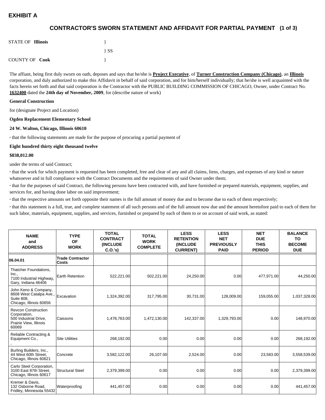# **EXHIBIT A**

## **(1 of 3) CONTRACTOR'S SWORN STATEMENT AND AFFIDAVIT FOR PARTIAL PAYMENT**

| <b>STATE OF Illinois</b> |          |
|--------------------------|----------|
|                          | $\{SS\}$ |
| <b>COUNTY OF Cook</b>    |          |

The affiant, being first duly sworn on oath, deposes and says that he/she is **Project Executive**, of **Turner Construction Company (Chicago)**, an **Illinois** corporation, and duly authorized to make this Affidavit in behalf of said corporation, and for him/herself individually; that he/she is well acquainted with the facts herein set forth and that said corporation is the Contractor with the PUBLIC BUILDING COMMISSION OF CHICAGO, Owner, under Contract No. **1632400** dated the **24th day of November, 2009**, for (describe nature of work)

#### **General Construction**

for (designate Project and Location)

#### **Ogden Replacement Elementary School**

#### **24 W. Walton, Chicago, Illinois 60610**

**·** that the following statements are made for the purpose of procuring a partial payment of

#### **Eight hundred thirty eight thousand twelve**

#### **\$838,012.00**

under the terms of said Contract;

**·** that the work for which payment is requested has been completed, free and clear of any and all claims, liens, charges, and expenses of any kind or nature whatsoever and in full compliance with the Contract Documents and the requirements of said Owner under them;

**·** that for the purposes of said Contract, the following persons have been contracted with, and have furnished or prepared materials, equipment, supplies, and services for, and having done labor on said improvement;

**·** that the respective amounts set forth opposite their names is the full amount of money due and to become due to each of them respectively;

**·** that this statement is a full, true, and complete statement of all such persons and of the full amount now due and the amount heretofore paid to each of them for such labor, materials, equipment, supplies, and services, furnished or prepared by each of them to or on account of said work, as stated:

| <b>NAME</b><br>and<br><b>ADDRESS</b>                                                                   | <b>TYPE</b><br><b>OF</b><br><b>WORK</b> | <b>TOTAL</b><br><b>CONTRACT</b><br><b>(INCLUDE)</b><br>C.0.'s) | <b>TOTAL</b><br><b>WORK</b><br><b>COMPLETE</b> | <b>LESS</b><br><b>RETENTION</b><br><b>(INCLUDE)</b><br><b>CURRENT)</b> | <b>LESS</b><br><b>NET</b><br><b>PREVIOUSLY</b><br><b>PAID</b> | <b>NET</b><br><b>DUE</b><br><b>THIS</b><br><b>PERIOD</b> | <b>BALANCE</b><br><b>TO</b><br><b>BECOME</b><br><b>DUE</b> |
|--------------------------------------------------------------------------------------------------------|-----------------------------------------|----------------------------------------------------------------|------------------------------------------------|------------------------------------------------------------------------|---------------------------------------------------------------|----------------------------------------------------------|------------------------------------------------------------|
| 06.04.01                                                                                               | <b>Trade Contractor</b><br><b>Costs</b> |                                                                |                                                |                                                                        |                                                               |                                                          |                                                            |
| Thatcher Foundations,<br>Inc.,<br>7100 Industrial Highway,<br>Gary, Indiana 46406                      | Earth Retention                         | 522,221.00                                                     | 502,221.00                                     | 24,250.00                                                              | 0.00 <sub>l</sub>                                             | 477,971.00                                               | 44,250.00                                                  |
| John Keno & Company,<br>8608 West Catalpa Ave.,<br><b>Suite 808.</b><br>Chicago, Illinois 60656        | Excavation                              | 1,324,392.00                                                   | 317,795.00                                     | 30,731.00                                                              | 128,009.00                                                    | 159,055.00                                               | 1,037,328.00                                               |
| <b>Revcon Construction</b><br>Corporation,<br>500 Industrial Drive,<br>Prairie View, Illinois<br>60069 | Caissons                                | 1,478,763.00                                                   | 1,472,130.00                                   | 142,337.00                                                             | 1,329,793.00                                                  | 0.00                                                     | 148,970.00                                                 |
| Reliable Contracting &<br>Equipment Co.,                                                               | <b>Site Utilities</b>                   | 268,192.00                                                     | 0.00                                           | 0.00                                                                   | 0.00 <sub>l</sub>                                             | 0.00                                                     | 268,192.00                                                 |
| Burling Builders, Inc.,<br>44 West 60th Street.<br>Chicago, Illinois 60621                             | Concrete                                | 3,582,122.00                                                   | 26,107.00                                      | 2.524.00                                                               | 0.00 <sub>l</sub>                                             | 23,583.00                                                | 3,558,539.00                                               |
| Carlo Steel Corporation,<br>3100 East 87th Street,<br>Chicago, Illinois 60617                          | <b>Structural Steel</b>                 | 2,379,399.00                                                   | 0.00                                           | 0.00                                                                   | 0.00                                                          | 0.00                                                     | 2,379,399.00                                               |
| Kremer & Davis,<br>132 Osborne Road.<br>Fridley, Minnesota 55432                                       | Waterproofing                           | 441,457.00                                                     | 0.00                                           | 0.00                                                                   | 0.00                                                          | 0.00                                                     | 441,457.00                                                 |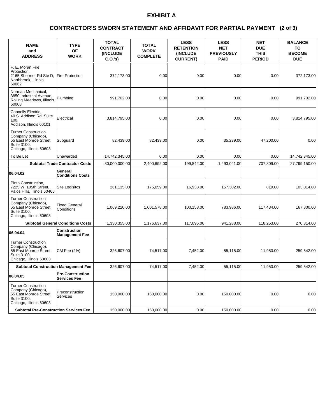# **EXHIBIT A**

### **(2 of 3) CONTRACTOR'S SWORN STATEMENT AND AFFIDAVIT FOR PARTIAL PAYMENT**

| <b>NAME</b><br>and<br><b>ADDRESS</b>                                                                                 | <b>TYPE</b><br><b>OF</b><br><b>WORK</b>  | <b>TOTAL</b><br><b>CONTRACT</b><br>(INCLUDE<br>C.O.'s | <b>TOTAL</b><br><b>WORK</b><br><b>COMPLETE</b> | <b>LESS</b><br><b>RETENTION</b><br>(INCLUDE<br><b>CURRENT</b> ) | <b>LESS</b><br><b>NET</b><br><b>PREVIOUSLY</b><br><b>PAID</b> | <b>NET</b><br><b>DUE</b><br><b>THIS</b><br><b>PERIOD</b> | <b>BALANCE</b><br>TO<br><b>BECOME</b><br><b>DUE</b> |
|----------------------------------------------------------------------------------------------------------------------|------------------------------------------|-------------------------------------------------------|------------------------------------------------|-----------------------------------------------------------------|---------------------------------------------------------------|----------------------------------------------------------|-----------------------------------------------------|
| F. E. Moran Fire<br>Protection.<br>2165 Shermer Rd Ste D,<br>Northbrook. Illinois<br>60062                           | <b>Fire Protection</b>                   | 372,173.00                                            | 0.00                                           | 0.00                                                            | 0.00                                                          | 0.00                                                     | 372,173.00                                          |
| Norman Mechanical,<br>3850 Industrial Avenue,<br>Rolling Meadows, Illinois<br>60008                                  | Plumbing                                 | 991,702.00                                            | 0.00                                           | 0.00                                                            | 0.00                                                          | 0.00                                                     | 991,702.00                                          |
| Connelly Electric,<br>40 S. Addison Rd, Suite<br>100.<br>Addison, Illinois 60101                                     | Electrical                               | 3,814,795.00                                          | 0.00                                           | 0.00                                                            | 0.00                                                          | 0.00                                                     | 3,814,795.00                                        |
| <b>Turner Construction</b><br>Company (Chicago),<br>55 East Monroe Street,<br>Suite 3100,<br>Chicago, Illinois 60603 | Subguard                                 | 82,439.00                                             | 82,439.00                                      | 0.00                                                            | 35,239.00                                                     | 47,200.00                                                | 0.00                                                |
| To Be Let                                                                                                            | Unawarded                                | 14,742,345.00                                         | 0.00                                           | 0.00                                                            | 0.00                                                          | 0.00                                                     | 14,742,345.00                                       |
| <b>Subtotal Trade Contractor Costs</b>                                                                               |                                          | 30,000,000.00                                         | 2,400,692.00                                   | 199,842.00                                                      | 1,493,041.00                                                  | 707,809.00                                               | 27,799,150.00                                       |
| 06.04.02                                                                                                             | General<br><b>Conditions Costs</b>       |                                                       |                                                |                                                                 |                                                               |                                                          |                                                     |
| Pinto Construction.<br>7225 W. 105th Street.<br>Palos Hills, Illinois 60465                                          | Site Logisitcs                           | 261,135.00                                            | 175,059.00                                     | 16,938.00                                                       | 157,302.00                                                    | 819.00                                                   | 103.014.00                                          |
| <b>Turner Construction</b><br>Company (Chicago),<br>55 East Monroe Street,<br>Suite 3100,<br>Chicago, Illinois 60603 | <b>Fixed General</b><br>Conditions       | 1,069,220.00                                          | 1.001.578.00                                   | 100.158.00                                                      | 783.986.00                                                    | 117,434.00                                               | 167,800.00                                          |
|                                                                                                                      | <b>Subtotal General Conditions Costs</b> | 1,330,355.00                                          | 1,176,637.00                                   | 117,096.00                                                      | 941,288.00                                                    | 118,253.00                                               | 270,814.00                                          |
| 06.04.04                                                                                                             | Construction<br><b>Management Fee</b>    |                                                       |                                                |                                                                 |                                                               |                                                          |                                                     |
| <b>Turner Construction</b><br>Company (Chicago),<br>55 East Monroe Street,<br>Suite 3100,<br>Chicago, Illinois 60603 | CM Fee (2%)                              | 326,607.00                                            | 74,517.00                                      | 7,452.00                                                        | 55,115.00                                                     | 11,950.00                                                | 259,542.00                                          |
| <b>Subtotal Construction Management Fee</b>                                                                          |                                          | 326,607.00                                            | 74,517.00                                      | 7,452.00                                                        | 55,115.00                                                     | 11,950.00                                                | 259,542.00                                          |
| 06.04.05                                                                                                             | <b>Pre-Construction</b><br>Services Fee  |                                                       |                                                |                                                                 |                                                               |                                                          |                                                     |
| <b>Turner Construction</b><br>Company (Chicago),<br>55 East Monroe Street.<br>Suite 3100.<br>Chicago, Illinois 60603 | Preconstruction<br>Services              | 150,000.00                                            | 150,000.00                                     | 0.00                                                            | 150,000.00                                                    | 0.00                                                     | 0.00                                                |
| <b>Subtotal Pre-Construction Services Fee</b>                                                                        |                                          | 150,000.00                                            | 150,000.00                                     | 0.00                                                            | 150,000.00                                                    | 0.00                                                     | 0.00                                                |